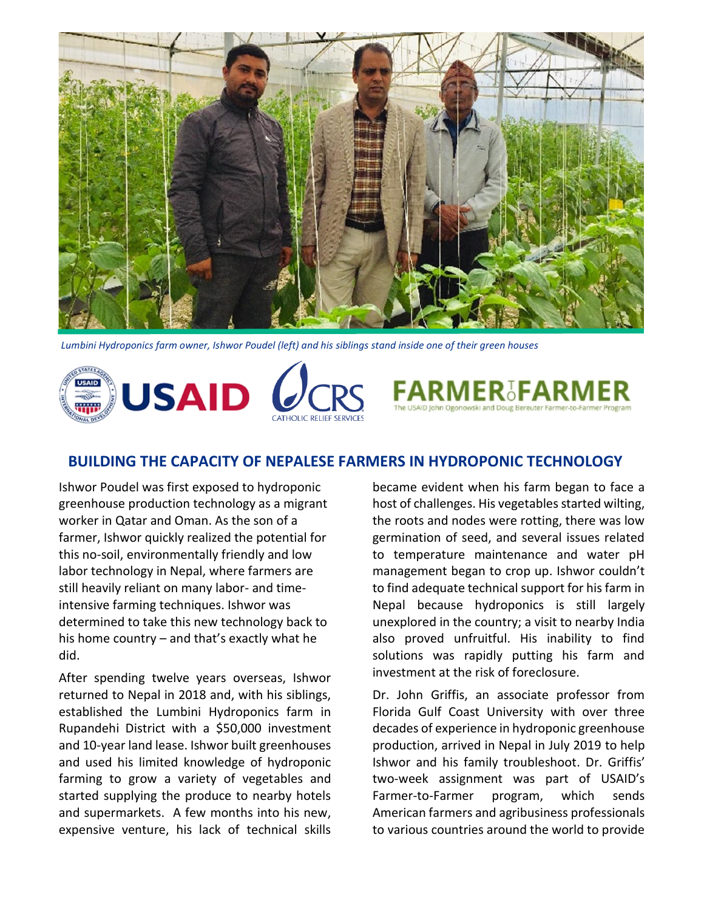

*Lumbini Hydroponics farm owner, Ishwor Poudel (left) and his siblings stand inside one of their green houses*

**USAID** 

## **BUILDING THE CAPACITY OF NEPALESE FARMERS IN HYDROPONIC TECHNOLOGY**

Ishwor Poudel was first exposed to hydroponic greenhouse production technology as a migrant worker in Qatar and Oman. As the son of a farmer, Ishwor quickly realized the potential for this no-soil, environmentally friendly and low labor technology in Nepal, where farmers are still heavily reliant on many labor- and timeintensive farming techniques. Ishwor was determined to take this new technology back to his home country – and that's exactly what he did.

After spending twelve years overseas, Ishwor returned to Nepal in 2018 and, with his siblings, established the Lumbini Hydroponics farm in Rupandehi District with a \$50,000 investment and 10-year land lease. Ishwor built greenhouses and used his limited knowledge of hydroponic farming to grow a variety of vegetables and started supplying the produce to nearby hotels and supermarkets. A few months into his new, expensive venture, his lack of technical skills

became evident when his farm began to face a host of challenges. His vegetables started wilting, the roots and nodes were rotting, there was low germination of seed, and several issues related to temperature maintenance and water pH management began to crop up. Ishwor couldn't to find adequate technical support for his farm in Nepal because hydroponics is still largely unexplored in the country; a visit to nearby India also proved unfruitful. His inability to find solutions was rapidly putting his farm and investment at the risk of foreclosure.

Dr. John Griffis, an associate professor from Florida Gulf Coast University with over three decades of experience in hydroponic greenhouse production, arrived in Nepal in July 2019 to help Ishwor and his family troubleshoot. Dr. Griffis' two-week assignment was part of USAID's Farmer-to-Farmer program, which sends American farmers and agribusiness professionals to various countries around the world to provide